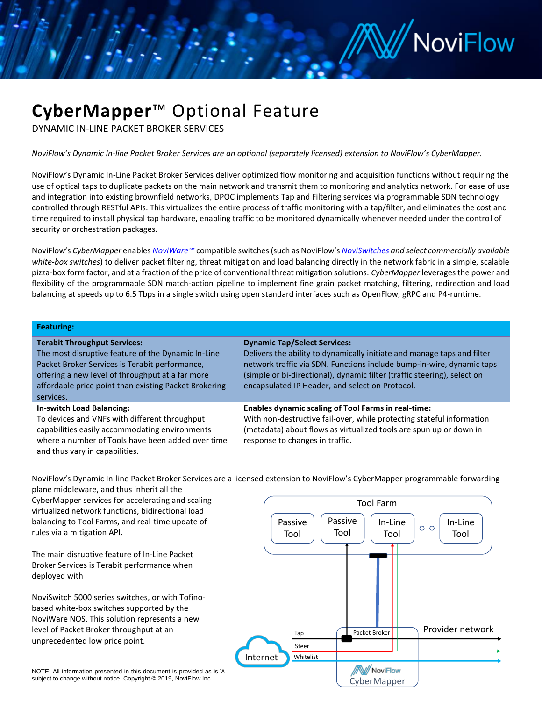## /// NoviFlow

### **CyberMapper**™ Optional Feature

DYNAMIC IN-LINE PACKET BROKER SERVICES

*NoviFlow's Dynamic In-line Packet Broker Services are an optional (separately licensed) extension to NoviFlow's CyberMapper.*

NoviFlow's Dynamic In-Line Packet Broker Services deliver optimized flow monitoring and acquisition functions without requiring the use of optical taps to duplicate packets on the main network and transmit them to monitoring and analytics network. For ease of use and integration into existing brownfield networks, DPOC implements Tap and Filtering services via programmable SDN technology controlled through RESTful APIs. This virtualizes the entire process of traffic monitoring with a tap/filter, and eliminates the cost and time required to install physical tap hardware, enabling traffic to be monitored dynamically whenever needed under the control of security or orchestration packages.

NoviFlow's *CyberMapper* enables *[NoviWare™](https://noviflow.com/noviware/)* compatible switches (such as NoviFlow's *[NoviSwitches](https://noviflow.com/noviswitch/) and select commercially available white-box switches*) to deliver packet filtering, threat mitigation and load balancing directly in the network fabric in a simple, scalable pizza-box form factor, and at a fraction of the price of conventional threat mitigation solutions. *CyberMapper* leverages the power and flexibility of the programmable SDN match-action pipeline to implement fine grain packet matching, filtering, redirection and load balancing at speeds up to 6.5 Tbps in a single switch using open standard interfaces such as OpenFlow, gRPC and P4-runtime.

|  | <b>Featuring:</b> |  |
|--|-------------------|--|
|  |                   |  |

| <b>Terabit Throughput Services:</b><br>The most disruptive feature of the Dynamic In-Line<br>Packet Broker Services is Terabit performance,<br>offering a new level of throughput at a far more<br>affordable price point than existing Packet Brokering<br>services. | <b>Dynamic Tap/Select Services:</b><br>Delivers the ability to dynamically initiate and manage taps and filter<br>network traffic via SDN. Functions include bump-in-wire, dynamic taps<br>(simple or bi-directional), dynamic filter (traffic steering), select on<br>encapsulated IP Header, and select on Protocol. |
|-----------------------------------------------------------------------------------------------------------------------------------------------------------------------------------------------------------------------------------------------------------------------|------------------------------------------------------------------------------------------------------------------------------------------------------------------------------------------------------------------------------------------------------------------------------------------------------------------------|
| <b>In-switch Load Balancing:</b><br>To devices and VNFs with different throughput<br>capabilities easily accommodating environments<br>where a number of Tools have been added over time<br>and thus vary in capabilities.                                            | <b>Enables dynamic scaling of Tool Farms in real-time:</b><br>With non-destructive fail-over, while protecting stateful information<br>(metadata) about flows as virtualized tools are spun up or down in<br>response to changes in traffic.                                                                           |

NoviFlow's Dynamic In-line Packet Broker Services are a licensed extension to NoviFlow's CyberMapper programmable forwarding

plane middleware, and thus inherit all the CyberMapper services for accelerating and scaling virtualized network functions, bidirectional load balancing to Tool Farms, and real-time update of rules via a mitigation API.

The main disruptive feature of In-Line Packet Broker Services is Terabit performance when deployed with

NoviSwitch 5000 series switches, or with Tofinobased white-box switches supported by the NoviWare NOS. This solution represents a new level of Packet Broker throughput at an



subject to change without notice. Copyright © 2019, NoviFlow Inc.